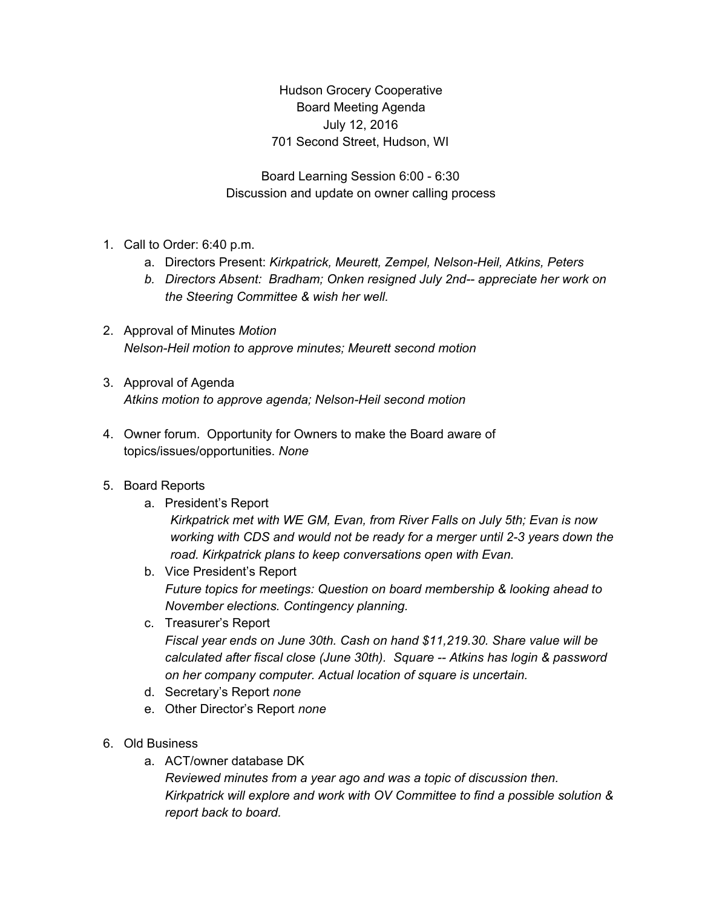Hudson Grocery Cooperative Board Meeting Agenda July 12, 2016 701 Second Street, Hudson, WI

Board Learning Session 6:00 - 6:30 Discussion and update on owner calling process

- 1. Call to Order: 6:40 p.m.
	- a. Directors Present: *Kirkpatrick, Meurett, Zempel, Nelson-Heil, Atkins, Peters*
	- *b. Directors Absent: Bradham; Onken resigned July 2nd-- appreciate her work on the Steering Committee & wish her well.*
- 2. Approval of Minutes *Motion Nelson-Heil motion to approve minutes; Meurett second motion*
- 3. Approval of Agenda *Atkins motion to approve agenda; Nelson-Heil second motion*
- 4. Owner forum. Opportunity for Owners to make the Board aware of topics/issues/opportunities. *None*

## 5. Board Reports

- a. President's Report *Kirkpatrick met with WE GM, Evan, from River Falls on July 5th; Evan is now working with CDS and would not be ready for a merger until 2-3 years down the road. Kirkpatrick plans to keep conversations open with Evan.*
- b. Vice President's Report *Future topics for meetings: Question on board membership & looking ahead to November elections. Contingency planning.*
- c. Treasurer's Report *Fiscal year ends on June 30th. Cash on hand \$11,219.30. Share value will be calculated after fiscal close (June 30th). Square -- Atkins has login & password on her company computer. Actual location of square is uncertain.*
- d. Secretary's Report *none*
- e. Other Director's Report *none*
- 6. Old Business
	- a. ACT/owner database DK *Reviewed minutes from a year ago and was a topic of discussion then. Kirkpatrick will explore and work with OV Committee to find a possible solution & report back to board.*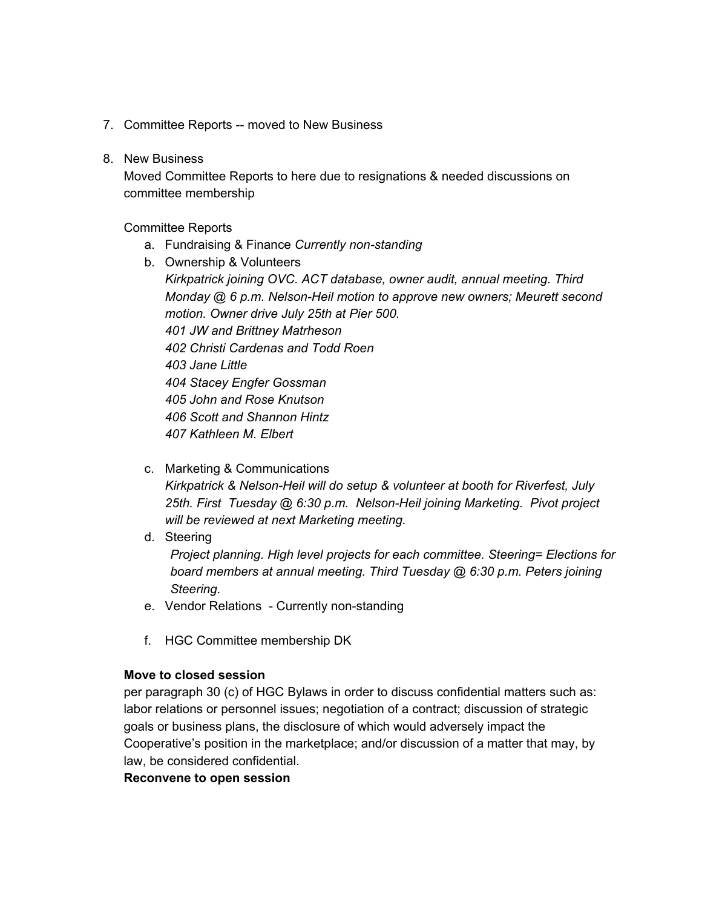- 7. Committee Reports -- moved to New Business
- 8. New Business

Moved Committee Reports to here due to resignations & needed discussions on committee membership

Committee Reports

- a. Fundraising & Finance *Currently non-standing*
- b. Ownership & Volunteers

*Kirkpatrick joining OVC. ACT database, owner audit, annual meeting. Third Monday @ 6 p.m. Nelson-Heil motion to approve new owners; Meurett second motion. Owner drive July 25th at Pier 500. JW and Brittney Matrheson Christi Cardenas and Todd Roen Jane Little Stacey Engfer Gossman John and Rose Knutson Scott and Shannon Hintz Kathleen M. Elbert*

c. Marketing & Communications

*Kirkpatrick & Nelson-Heil will do setup & volunteer at booth for Riverfest, July 25th. First Tuesday @ 6:30 p.m. Nelson-Heil joining Marketing. Pivot project will be reviewed at next Marketing meeting.*

d. Steering

*Project planning. High level projects for each committee. Steering= Elections for board members at annual meeting. Third Tuesday @ 6:30 p.m. Peters joining Steering.*

- e. Vendor Relations Currently non-standing
- f. HGC Committee membership DK

### **Move to closed session**

per paragraph 30 (c) of HGC Bylaws in order to discuss confidential matters such as: labor relations or personnel issues; negotiation of a contract; discussion of strategic goals or business plans, the disclosure of which would adversely impact the Cooperative's position in the marketplace; and/or discussion of a matter that may, by law, be considered confidential.

#### **Reconvene to open session**